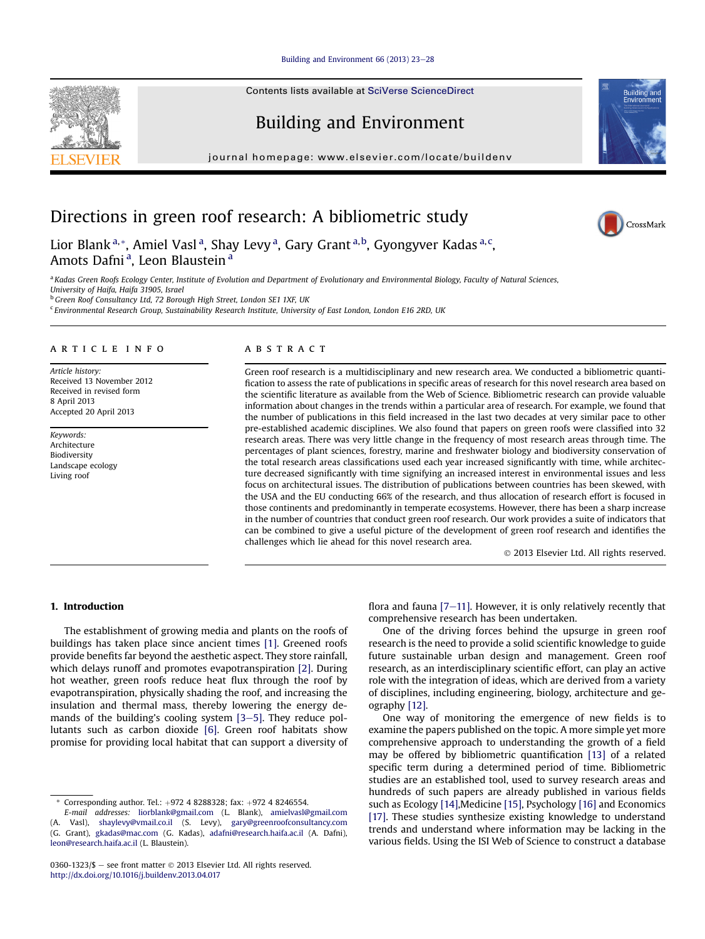#### [Building and Environment 66 \(2013\) 23](http://dx.doi.org/10.1016/j.buildenv.2013.04.017)-[28](http://dx.doi.org/10.1016/j.buildenv.2013.04.017)

Contents lists available at [SciVerse ScienceDirect](www.sciencedirect.com/science/journal/03601323)

# Building and Environment

journal homepage: [www.elsevier.com/locate/buildenv](http://www.elsevier.com/locate/buildenv)

# Directions in green roof research: A bibliometric study

Lior Blank <sup>a,</sup>\*, Amiel Vasl <sup>a</sup>, Shay Levy <sup>a</sup>, Gary Grant <sup>a, b</sup>, Gyongyver Kadas <sup>a, c</sup>, Amots Dafni<sup>a</sup>, Leon Blaustein<sup>a</sup>

<sup>a</sup> Kadas Green Roofs Ecology Center, Institute of Evolution and Department of Evolutionary and Environmental Biology, Faculty of Natural Sciences, University of Haifa, Haifa 31905, Israel

<sup>b</sup> Green Roof Consultancy Ltd, 72 Borough High Street, London SE1 1XF, UK

<sup>c</sup> Environmental Research Group, Sustainability Research Institute, University of East London, London E16 2RD, UK

### article info

Article history: Received 13 November 2012 Received in revised form 8 April 2013 Accepted 20 April 2013

Keywords: Architecture Biodiversity Landscape ecology Living roof

## **ABSTRACT**

Green roof research is a multidisciplinary and new research area. We conducted a bibliometric quantification to assess the rate of publications in specific areas of research for this novel research area based on the scientific literature as available from the Web of Science. Bibliometric research can provide valuable information about changes in the trends within a particular area of research. For example, we found that the number of publications in this field increased in the last two decades at very similar pace to other pre-established academic disciplines. We also found that papers on green roofs were classified into 32 research areas. There was very little change in the frequency of most research areas through time. The percentages of plant sciences, forestry, marine and freshwater biology and biodiversity conservation of the total research areas classifications used each year increased significantly with time, while architecture decreased significantly with time signifying an increased interest in environmental issues and less focus on architectural issues. The distribution of publications between countries has been skewed, with the USA and the EU conducting 66% of the research, and thus allocation of research effort is focused in those continents and predominantly in temperate ecosystems. However, there has been a sharp increase in the number of countries that conduct green roof research. Our work provides a suite of indicators that can be combined to give a useful picture of the development of green roof research and identifies the challenges which lie ahead for this novel research area.

2013 Elsevier Ltd. All rights reserved.

# 1. Introduction

The establishment of growing media and plants on the roofs of buildings has taken place since ancient times [1]. Greened roofs provide benefits far beyond the aesthetic aspect. They store rainfall, which delays runoff and promotes evapotranspiration [2]. During hot weather, green roofs reduce heat flux through the roof by evapotranspiration, physically shading the roof, and increasing the insulation and thermal mass, thereby lowering the energy demands of the building's cooling system  $[3-5]$ . They reduce pollutants such as carbon dioxide [6]. Green roof habitats show promise for providing local habitat that can support a diversity of

flora and fauna  $[7-11]$ . However, it is only relatively recently that comprehensive research has been undertaken.

One of the driving forces behind the upsurge in green roof research is the need to provide a solid scientific knowledge to guide future sustainable urban design and management. Green roof research, as an interdisciplinary scientific effort, can play an active role with the integration of ideas, which are derived from a variety of disciplines, including engineering, biology, architecture and geography [12].

One way of monitoring the emergence of new fields is to examine the papers published on the topic. A more simple yet more comprehensive approach to understanding the growth of a field may be offered by bibliometric quantification [13] of a related specific term during a determined period of time. Bibliometric studies are an established tool, used to survey research areas and hundreds of such papers are already published in various fields such as Ecology [14],Medicine [15], Psychology [16] and Economics [17]. These studies synthesize existing knowledge to understand trends and understand where information may be lacking in the various fields. Using the ISI Web of Science to construct a database







Corresponding author. Tel.: +972 4 8288328; fax: +972 4 8246554.

E-mail addresses: [liorblank@gmail.com](mailto:liorblank@gmail.com) (L. Blank), [amielvasl@gmail.com](mailto:amielvasl@gmail.com) (A. Vasl), [shaylevy@vmail.co.il](mailto:shaylevy@vmail.co.il) (S. Levy), [gary@greenroofconsultancy.com](mailto:gary@greenroofconsultancy.com) (G. Grant), [gkadas@mac.com](mailto:gkadas@mac.com) (G. Kadas), [adafni@research.haifa.ac.il](mailto:adafni@research.haifa.ac.il) (A. Dafni), [leon@research.haifa.ac.il](mailto:leon@research.haifa.ac.il) (L. Blaustein).

<sup>0360-1323/\$ -</sup> see front matter  $\odot$  2013 Elsevier Ltd. All rights reserved. <http://dx.doi.org/10.1016/j.buildenv.2013.04.017>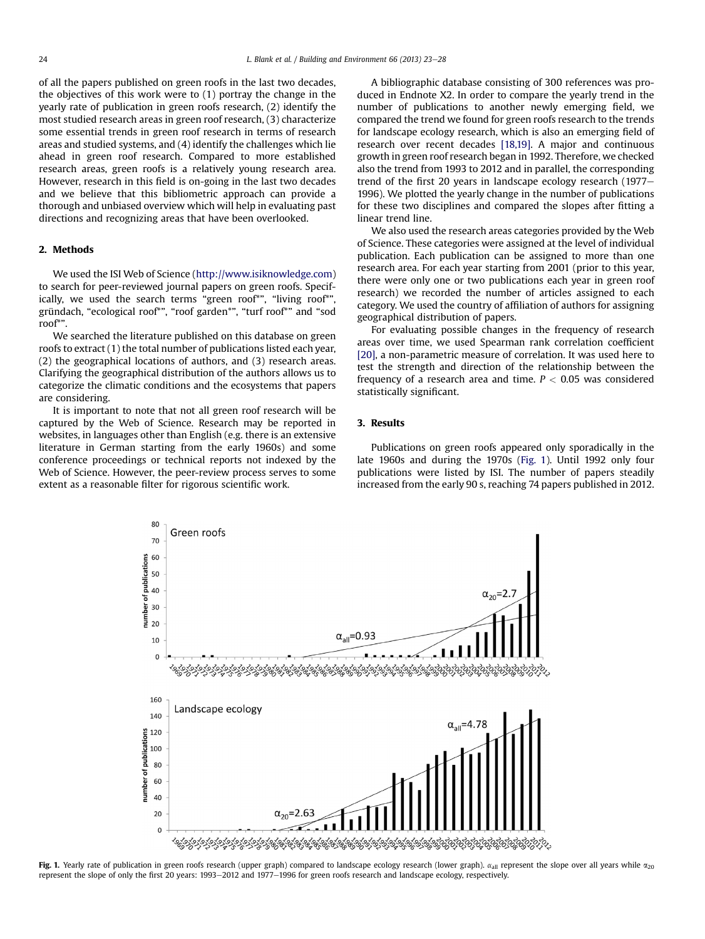of all the papers published on green roofs in the last two decades, the objectives of this work were to (1) portray the change in the yearly rate of publication in green roofs research, (2) identify the most studied research areas in green roof research, (3) characterize some essential trends in green roof research in terms of research areas and studied systems, and (4) identify the challenges which lie ahead in green roof research. Compared to more established research areas, green roofs is a relatively young research area. However, research in this field is on-going in the last two decades and we believe that this bibliometric approach can provide a thorough and unbiased overview which will help in evaluating past directions and recognizing areas that have been overlooked.

### 2. Methods

We used the ISI Web of Science ([http://www.isiknowledge.com\)](http://www.isiknowledge.com) to search for peer-reviewed journal papers on green roofs. Specifically, we used the search terms "green roof\*", "living roof\*", gründach, "ecological roof\*", "roof garden\*", "turf roof\*" and "sod roof\*".

We searched the literature published on this database on green roofs to extract (1) the total number of publications listed each year, (2) the geographical locations of authors, and (3) research areas. Clarifying the geographical distribution of the authors allows us to categorize the climatic conditions and the ecosystems that papers are considering.

It is important to note that not all green roof research will be captured by the Web of Science. Research may be reported in websites, in languages other than English (e.g. there is an extensive literature in German starting from the early 1960s) and some conference proceedings or technical reports not indexed by the Web of Science. However, the peer-review process serves to some extent as a reasonable filter for rigorous scientific work.

A bibliographic database consisting of 300 references was produced in Endnote X2. In order to compare the yearly trend in the number of publications to another newly emerging field, we compared the trend we found for green roofs research to the trends for landscape ecology research, which is also an emerging field of research over recent decades [18,19]. A major and continuous growth in green roof research began in 1992. Therefore, we checked also the trend from 1993 to 2012 and in parallel, the corresponding trend of the first 20 years in landscape ecology research  $(1977-$ 1996). We plotted the yearly change in the number of publications for these two disciplines and compared the slopes after fitting a linear trend line.

We also used the research areas categories provided by the Web of Science. These categories were assigned at the level of individual publication. Each publication can be assigned to more than one research area. For each year starting from 2001 (prior to this year, there were only one or two publications each year in green roof research) we recorded the number of articles assigned to each category. We used the country of affiliation of authors for assigning geographical distribution of papers.

For evaluating possible changes in the frequency of research areas over time, we used Spearman rank correlation coefficient [20], a non-parametric measure of correlation. It was used here to test the strength and direction of the relationship between the frequency of a research area and time.  $P < 0.05$  was considered statistically significant.

## 3. Results

Publications on green roofs appeared only sporadically in the late 1960s and during the 1970s (Fig. 1). Until 1992 only four publications were listed by ISI. The number of papers steadily increased from the early 90 s, reaching 74 papers published in 2012.



Fig. 1. Yearly rate of publication in green roofs research (upper graph) compared to landscape ecology research (lower graph).  $\alpha_{all}$  represent the slope over all years while  $\alpha_{20}$ represent the slope of only the first 20 years: 1993-2012 and 1977-1996 for green roofs research and landscape ecology, respectively.